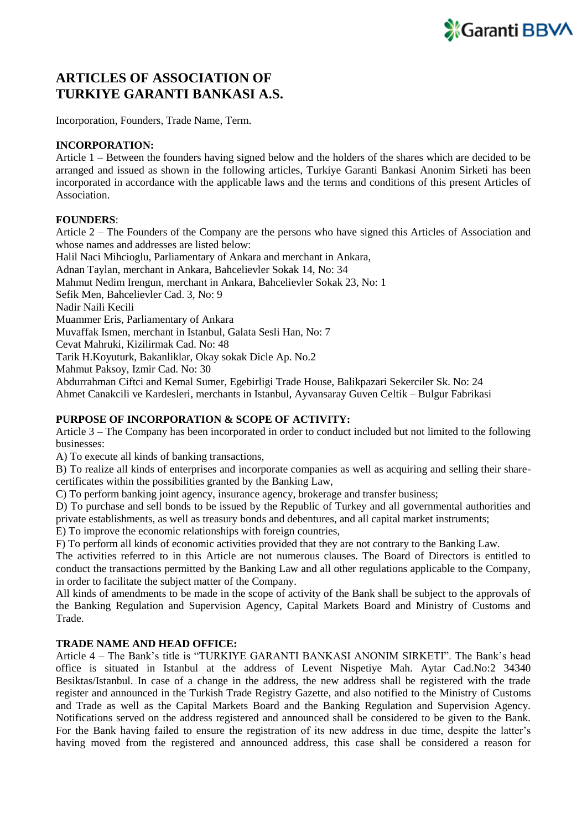# **X**Garanti BBVA

# **ARTICLES OF ASSOCIATION OF TURKIYE GARANTI BANKASI A.S.**

Incorporation, Founders, Trade Name, Term.

# **INCORPORATION:**

Article 1 – Between the founders having signed below and the holders of the shares which are decided to be arranged and issued as shown in the following articles, Turkiye Garanti Bankasi Anonim Sirketi has been incorporated in accordance with the applicable laws and the terms and conditions of this present Articles of Association.

# **FOUNDERS**:

Article 2 – The Founders of the Company are the persons who have signed this Articles of Association and whose names and addresses are listed below: Halil Naci Mihcioglu, Parliamentary of Ankara and merchant in Ankara,

Adnan Taylan, merchant in Ankara, Bahcelievler Sokak 14, No: 34

Mahmut Nedim Irengun, merchant in Ankara, Bahcelievler Sokak 23, No: 1

Sefik Men, Bahcelievler Cad. 3, No: 9

Nadir Naili Kecili

Muammer Eris, Parliamentary of Ankara

Muvaffak Ismen, merchant in Istanbul, Galata Sesli Han, No: 7

Cevat Mahruki, Kizilirmak Cad. No: 48

Tarik H.Koyuturk, Bakanliklar, Okay sokak Dicle Ap. No.2

Mahmut Paksoy, Izmir Cad. No: 30

Abdurrahman Ciftci and Kemal Sumer, Egebirligi Trade House, Balikpazari Sekerciler Sk. No: 24 Ahmet Canakcili ve Kardesleri, merchants in Istanbul, Ayvansaray Guven Celtik – Bulgur Fabrikasi

# **PURPOSE OF INCORPORATION & SCOPE OF ACTIVITY:**

Article 3 – The Company has been incorporated in order to conduct included but not limited to the following businesses:

A) To execute all kinds of banking transactions,

B) To realize all kinds of enterprises and incorporate companies as well as acquiring and selling their sharecertificates within the possibilities granted by the Banking Law,

C) To perform banking joint agency, insurance agency, brokerage and transfer business;

D) To purchase and sell bonds to be issued by the Republic of Turkey and all governmental authorities and private establishments, as well as treasury bonds and debentures, and all capital market instruments;

E) To improve the economic relationships with foreign countries,

F) To perform all kinds of economic activities provided that they are not contrary to the Banking Law.

The activities referred to in this Article are not numerous clauses. The Board of Directors is entitled to conduct the transactions permitted by the Banking Law and all other regulations applicable to the Company, in order to facilitate the subject matter of the Company.

All kinds of amendments to be made in the scope of activity of the Bank shall be subject to the approvals of the Banking Regulation and Supervision Agency, Capital Markets Board and Ministry of Customs and Trade.

# **TRADE NAME AND HEAD OFFICE:**

Article 4 – The Bank's title is "TURKIYE GARANTI BANKASI ANONIM SIRKETI". The Bank's head office is situated in Istanbul at the address of Levent Nispetiye Mah. Aytar Cad.No:2 34340 Besiktas/Istanbul. In case of a change in the address, the new address shall be registered with the trade register and announced in the Turkish Trade Registry Gazette, and also notified to the Ministry of Customs and Trade as well as the Capital Markets Board and the Banking Regulation and Supervision Agency. Notifications served on the address registered and announced shall be considered to be given to the Bank. For the Bank having failed to ensure the registration of its new address in due time, despite the latter's having moved from the registered and announced address, this case shall be considered a reason for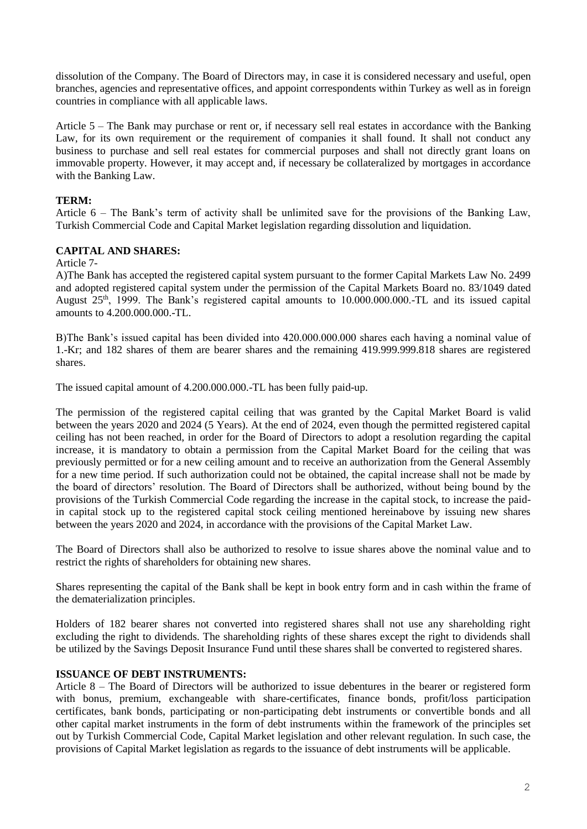dissolution of the Company. The Board of Directors may, in case it is considered necessary and useful, open branches, agencies and representative offices, and appoint correspondents within Turkey as well as in foreign countries in compliance with all applicable laws.

Article 5 – The Bank may purchase or rent or, if necessary sell real estates in accordance with the Banking Law, for its own requirement or the requirement of companies it shall found. It shall not conduct any business to purchase and sell real estates for commercial purposes and shall not directly grant loans on immovable property. However, it may accept and, if necessary be collateralized by mortgages in accordance with the Banking Law.

# **TERM:**

Article  $6 -$  The Bank's term of activity shall be unlimited save for the provisions of the Banking Law, Turkish Commercial Code and Capital Market legislation regarding dissolution and liquidation.

# **CAPITAL AND SHARES:**

#### Article 7-

A)The Bank has accepted the registered capital system pursuant to the former Capital Markets Law No. 2499 and adopted registered capital system under the permission of the Capital Markets Board no. 83/1049 dated August 25<sup>th</sup>, 1999. The Bank's registered capital amounts to 10.000.000.000.-TL and its issued capital amounts to 4.200.000.000.-TL.

B)The Bank's issued capital has been divided into 420.000.000.000 shares each having a nominal value of 1.-Kr; and 182 shares of them are bearer shares and the remaining 419.999.999.818 shares are registered shares.

The issued capital amount of 4.200.000.000.-TL has been fully paid-up.

The permission of the registered capital ceiling that was granted by the Capital Market Board is valid between the years 2020 and 2024 (5 Years). At the end of 2024, even though the permitted registered capital ceiling has not been reached, in order for the Board of Directors to adopt a resolution regarding the capital increase, it is mandatory to obtain a permission from the Capital Market Board for the ceiling that was previously permitted or for a new ceiling amount and to receive an authorization from the General Assembly for a new time period. If such authorization could not be obtained, the capital increase shall not be made by the board of directors' resolution. The Board of Directors shall be authorized, without being bound by the provisions of the Turkish Commercial Code regarding the increase in the capital stock, to increase the paidin capital stock up to the registered capital stock ceiling mentioned hereinabove by issuing new shares between the years 2020 and 2024, in accordance with the provisions of the Capital Market Law.

The Board of Directors shall also be authorized to resolve to issue shares above the nominal value and to restrict the rights of shareholders for obtaining new shares.

Shares representing the capital of the Bank shall be kept in book entry form and in cash within the frame of the dematerialization principles.

Holders of 182 bearer shares not converted into registered shares shall not use any shareholding right excluding the right to dividends. The shareholding rights of these shares except the right to dividends shall be utilized by the Savings Deposit Insurance Fund until these shares shall be converted to registered shares.

# **ISSUANCE OF DEBT INSTRUMENTS:**

Article 8 – The Board of Directors will be authorized to issue debentures in the bearer or registered form with bonus, premium, exchangeable with share-certificates, finance bonds, profit/loss participation certificates, bank bonds, participating or non-participating debt instruments or convertible bonds and all other capital market instruments in the form of debt instruments within the framework of the principles set out by Turkish Commercial Code, Capital Market legislation and other relevant regulation. In such case, the provisions of Capital Market legislation as regards to the issuance of debt instruments will be applicable.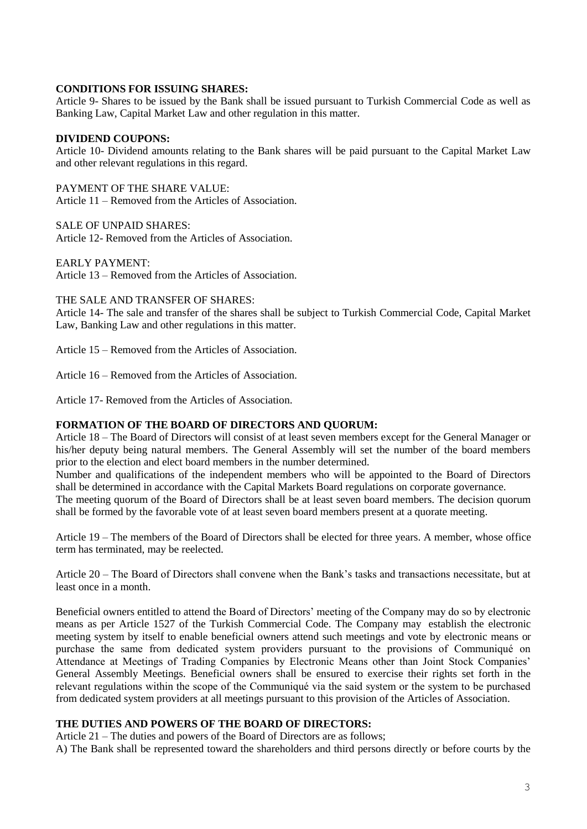#### **CONDITIONS FOR ISSUING SHARES:**

Article 9- Shares to be issued by the Bank shall be issued pursuant to Turkish Commercial Code as well as Banking Law, Capital Market Law and other regulation in this matter.

# **DIVIDEND COUPONS:**

Article 10- Dividend amounts relating to the Bank shares will be paid pursuant to the Capital Market Law and other relevant regulations in this regard.

PAYMENT OF THE SHARE VALUE: Article 11 – Removed from the Articles of Association.

#### SALE OF UNPAID SHARES:

Article 12- Removed from the Articles of Association.

#### EARLY PAYMENT:

Article 13 – Removed from the Articles of Association.

#### THE SALE AND TRANSFER OF SHARES:

Article 14- The sale and transfer of the shares shall be subject to Turkish Commercial Code, Capital Market Law, Banking Law and other regulations in this matter.

Article 15 – Removed from the Articles of Association.

Article 16 – Removed from the Articles of Association.

Article 17- Removed from the Articles of Association.

#### **FORMATION OF THE BOARD OF DIRECTORS AND QUORUM:**

Article 18 – The Board of Directors will consist of at least seven members except for the General Manager or his/her deputy being natural members. The General Assembly will set the number of the board members prior to the election and elect board members in the number determined.

Number and qualifications of the independent members who will be appointed to the Board of Directors shall be determined in accordance with the Capital Markets Board regulations on corporate governance. The meeting quorum of the Board of Directors shall be at least seven board members. The decision quorum shall be formed by the favorable vote of at least seven board members present at a quorate meeting.

Article 19 – The members of the Board of Directors shall be elected for three years. A member, whose office term has terminated, may be reelected.

Article 20 – The Board of Directors shall convene when the Bank's tasks and transactions necessitate, but at least once in a month.

Beneficial owners entitled to attend the Board of Directors' meeting of the Company may do so by electronic means as per Article 1527 of the Turkish Commercial Code. The Company may establish the electronic meeting system by itself to enable beneficial owners attend such meetings and vote by electronic means or purchase the same from dedicated system providers pursuant to the provisions of Communiqué on Attendance at Meetings of Trading Companies by Electronic Means other than Joint Stock Companies' General Assembly Meetings. Beneficial owners shall be ensured to exercise their rights set forth in the relevant regulations within the scope of the Communiqué via the said system or the system to be purchased from dedicated system providers at all meetings pursuant to this provision of the Articles of Association.

#### **THE DUTIES AND POWERS OF THE BOARD OF DIRECTORS:**

Article 21 – The duties and powers of the Board of Directors are as follows;

A) The Bank shall be represented toward the shareholders and third persons directly or before courts by the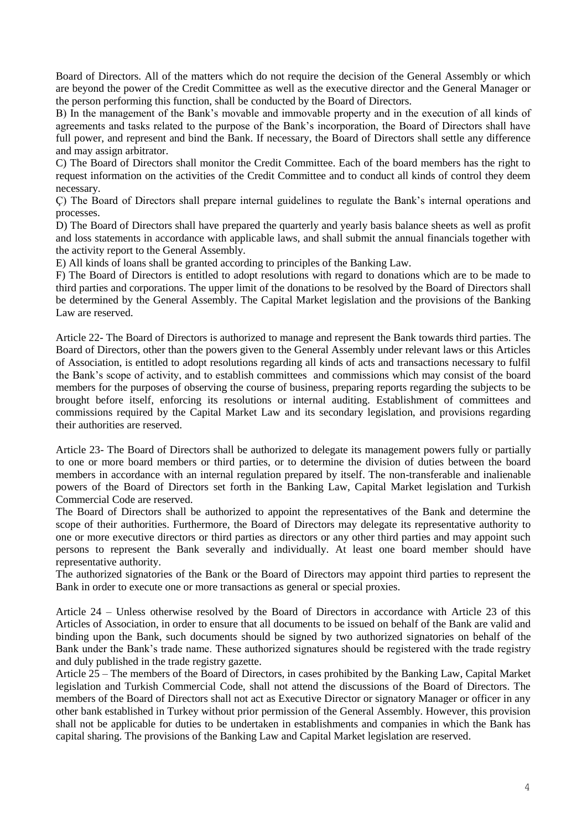Board of Directors. All of the matters which do not require the decision of the General Assembly or which are beyond the power of the Credit Committee as well as the executive director and the General Manager or the person performing this function, shall be conducted by the Board of Directors.

B) In the management of the Bank's movable and immovable property and in the execution of all kinds of agreements and tasks related to the purpose of the Bank's incorporation, the Board of Directors shall have full power, and represent and bind the Bank. If necessary, the Board of Directors shall settle any difference and may assign arbitrator.

C) The Board of Directors shall monitor the Credit Committee. Each of the board members has the right to request information on the activities of the Credit Committee and to conduct all kinds of control they deem necessary.

Ç) The Board of Directors shall prepare internal guidelines to regulate the Bank's internal operations and processes.

D) The Board of Directors shall have prepared the quarterly and yearly basis balance sheets as well as profit and loss statements in accordance with applicable laws, and shall submit the annual financials together with the activity report to the General Assembly.

E) All kinds of loans shall be granted according to principles of the Banking Law.

F) The Board of Directors is entitled to adopt resolutions with regard to donations which are to be made to third parties and corporations. The upper limit of the donations to be resolved by the Board of Directors shall be determined by the General Assembly. The Capital Market legislation and the provisions of the Banking Law are reserved.

Article 22- The Board of Directors is authorized to manage and represent the Bank towards third parties. The Board of Directors, other than the powers given to the General Assembly under relevant laws or this Articles of Association, is entitled to adopt resolutions regarding all kinds of acts and transactions necessary to fulfil the Bank's scope of activity, and to establish committees and commissions which may consist of the board members for the purposes of observing the course of business, preparing reports regarding the subjects to be brought before itself, enforcing its resolutions or internal auditing. Establishment of committees and commissions required by the Capital Market Law and its secondary legislation, and provisions regarding their authorities are reserved.

Article 23- The Board of Directors shall be authorized to delegate its management powers fully or partially to one or more board members or third parties, or to determine the division of duties between the board members in accordance with an internal regulation prepared by itself. The non-transferable and inalienable powers of the Board of Directors set forth in the Banking Law, Capital Market legislation and Turkish Commercial Code are reserved.

The Board of Directors shall be authorized to appoint the representatives of the Bank and determine the scope of their authorities. Furthermore, the Board of Directors may delegate its representative authority to one or more executive directors or third parties as directors or any other third parties and may appoint such persons to represent the Bank severally and individually. At least one board member should have representative authority.

The authorized signatories of the Bank or the Board of Directors may appoint third parties to represent the Bank in order to execute one or more transactions as general or special proxies.

Article 24 – Unless otherwise resolved by the Board of Directors in accordance with Article 23 of this Articles of Association, in order to ensure that all documents to be issued on behalf of the Bank are valid and binding upon the Bank, such documents should be signed by two authorized signatories on behalf of the Bank under the Bank's trade name. These authorized signatures should be registered with the trade registry and duly published in the trade registry gazette.

Article 25 – The members of the Board of Directors, in cases prohibited by the Banking Law, Capital Market legislation and Turkish Commercial Code, shall not attend the discussions of the Board of Directors. The members of the Board of Directors shall not act as Executive Director or signatory Manager or officer in any other bank established in Turkey without prior permission of the General Assembly. However, this provision shall not be applicable for duties to be undertaken in establishments and companies in which the Bank has capital sharing. The provisions of the Banking Law and Capital Market legislation are reserved.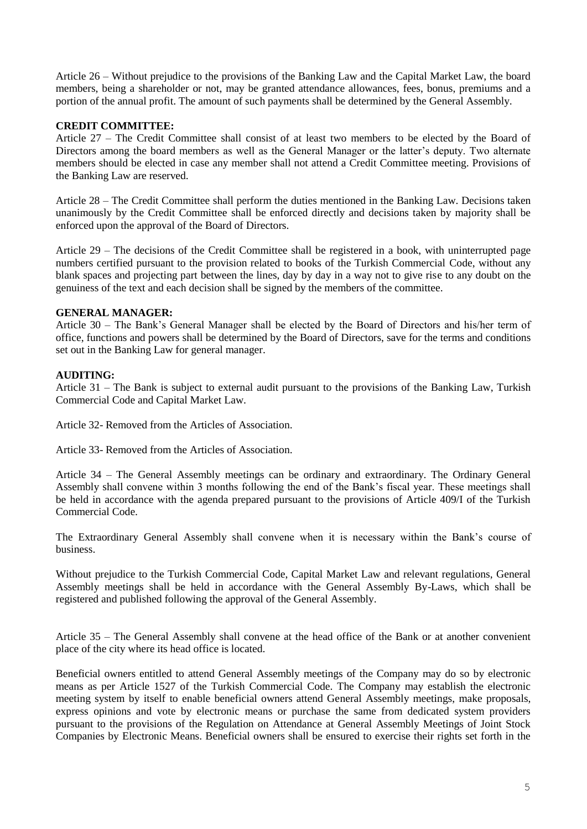Article 26 – Without prejudice to the provisions of the Banking Law and the Capital Market Law, the board members, being a shareholder or not, may be granted attendance allowances, fees, bonus, premiums and a portion of the annual profit. The amount of such payments shall be determined by the General Assembly.

# **CREDIT COMMITTEE:**

Article 27 – The Credit Committee shall consist of at least two members to be elected by the Board of Directors among the board members as well as the General Manager or the latter's deputy. Two alternate members should be elected in case any member shall not attend a Credit Committee meeting. Provisions of the Banking Law are reserved.

Article 28 – The Credit Committee shall perform the duties mentioned in the Banking Law. Decisions taken unanimously by the Credit Committee shall be enforced directly and decisions taken by majority shall be enforced upon the approval of the Board of Directors.

Article 29 – The decisions of the Credit Committee shall be registered in a book, with uninterrupted page numbers certified pursuant to the provision related to books of the Turkish Commercial Code, without any blank spaces and projecting part between the lines, day by day in a way not to give rise to any doubt on the genuiness of the text and each decision shall be signed by the members of the committee.

#### **GENERAL MANAGER:**

Article 30 – The Bank's General Manager shall be elected by the Board of Directors and his/her term of office, functions and powers shall be determined by the Board of Directors, save for the terms and conditions set out in the Banking Law for general manager.

# **AUDITING:**

Article 31 – The Bank is subject to external audit pursuant to the provisions of the Banking Law, Turkish Commercial Code and Capital Market Law.

Article 32- Removed from the Articles of Association.

Article 33- Removed from the Articles of Association.

Article 34 – The General Assembly meetings can be ordinary and extraordinary. The Ordinary General Assembly shall convene within 3 months following the end of the Bank's fiscal year. These meetings shall be held in accordance with the agenda prepared pursuant to the provisions of Article 409/I of the Turkish Commercial Code.

The Extraordinary General Assembly shall convene when it is necessary within the Bank's course of business.

Without prejudice to the Turkish Commercial Code, Capital Market Law and relevant regulations, General Assembly meetings shall be held in accordance with the General Assembly By-Laws, which shall be registered and published following the approval of the General Assembly.

Article 35 – The General Assembly shall convene at the head office of the Bank or at another convenient place of the city where its head office is located.

Beneficial owners entitled to attend General Assembly meetings of the Company may do so by electronic means as per Article 1527 of the Turkish Commercial Code. The Company may establish the electronic meeting system by itself to enable beneficial owners attend General Assembly meetings, make proposals, express opinions and vote by electronic means or purchase the same from dedicated system providers pursuant to the provisions of the Regulation on Attendance at General Assembly Meetings of Joint Stock Companies by Electronic Means. Beneficial owners shall be ensured to exercise their rights set forth in the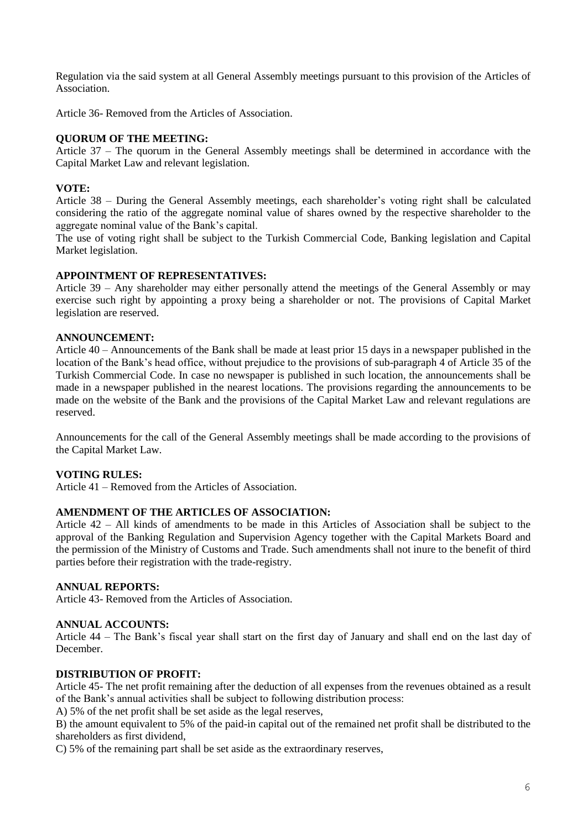Regulation via the said system at all General Assembly meetings pursuant to this provision of the Articles of Association.

Article 36- Removed from the Articles of Association.

# **QUORUM OF THE MEETING:**

Article 37 – The quorum in the General Assembly meetings shall be determined in accordance with the Capital Market Law and relevant legislation.

# **VOTE:**

Article 38 – During the General Assembly meetings, each shareholder's voting right shall be calculated considering the ratio of the aggregate nominal value of shares owned by the respective shareholder to the aggregate nominal value of the Bank's capital.

The use of voting right shall be subject to the Turkish Commercial Code, Banking legislation and Capital Market legislation.

# **APPOINTMENT OF REPRESENTATIVES:**

Article 39 – Any shareholder may either personally attend the meetings of the General Assembly or may exercise such right by appointing a proxy being a shareholder or not. The provisions of Capital Market legislation are reserved.

# **ANNOUNCEMENT:**

Article 40 – Announcements of the Bank shall be made at least prior 15 days in a newspaper published in the location of the Bank's head office, without prejudice to the provisions of sub-paragraph 4 of Article 35 of the Turkish Commercial Code. In case no newspaper is published in such location, the announcements shall be made in a newspaper published in the nearest locations. The provisions regarding the announcements to be made on the website of the Bank and the provisions of the Capital Market Law and relevant regulations are reserved.

Announcements for the call of the General Assembly meetings shall be made according to the provisions of the Capital Market Law.

#### **VOTING RULES:**

Article 41 – Removed from the Articles of Association.

# **AMENDMENT OF THE ARTICLES OF ASSOCIATION:**

Article 42 – All kinds of amendments to be made in this Articles of Association shall be subject to the approval of the Banking Regulation and Supervision Agency together with the Capital Markets Board and the permission of the Ministry of Customs and Trade. Such amendments shall not inure to the benefit of third parties before their registration with the trade-registry.

#### **ANNUAL REPORTS:**

Article 43- Removed from the Articles of Association.

#### **ANNUAL ACCOUNTS:**

Article 44 – The Bank's fiscal year shall start on the first day of January and shall end on the last day of December.

#### **DISTRIBUTION OF PROFIT:**

Article 45- The net profit remaining after the deduction of all expenses from the revenues obtained as a result of the Bank's annual activities shall be subject to following distribution process:

A) 5% of the net profit shall be set aside as the legal reserves,

B) the amount equivalent to 5% of the paid-in capital out of the remained net profit shall be distributed to the shareholders as first dividend,

C) 5% of the remaining part shall be set aside as the extraordinary reserves,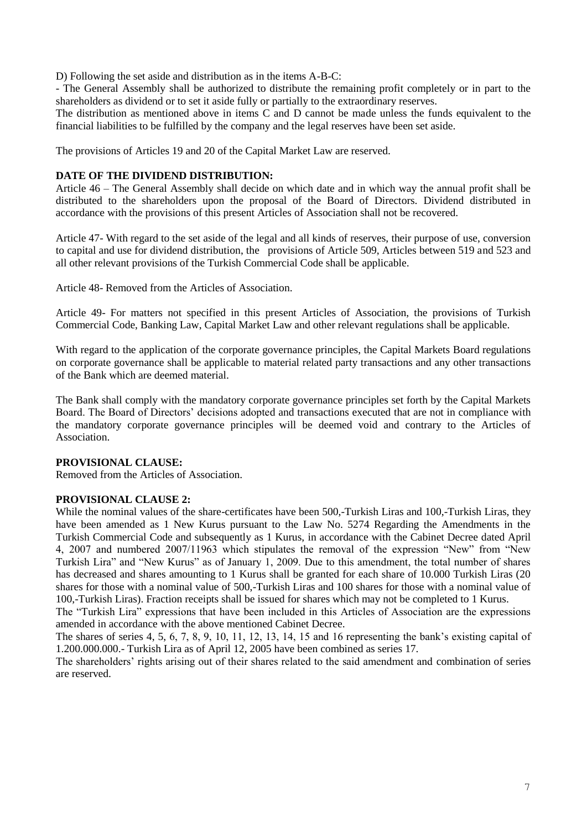D) Following the set aside and distribution as in the items A-B-C:

- The General Assembly shall be authorized to distribute the remaining profit completely or in part to the shareholders as dividend or to set it aside fully or partially to the extraordinary reserves.

The distribution as mentioned above in items C and D cannot be made unless the funds equivalent to the financial liabilities to be fulfilled by the company and the legal reserves have been set aside.

The provisions of Articles 19 and 20 of the Capital Market Law are reserved.

#### **DATE OF THE DIVIDEND DISTRIBUTION:**

Article 46 – The General Assembly shall decide on which date and in which way the annual profit shall be distributed to the shareholders upon the proposal of the Board of Directors. Dividend distributed in accordance with the provisions of this present Articles of Association shall not be recovered.

Article 47- With regard to the set aside of the legal and all kinds of reserves, their purpose of use, conversion to capital and use for dividend distribution, the provisions of Article 509, Articles between 519 and 523 and all other relevant provisions of the Turkish Commercial Code shall be applicable.

Article 48- Removed from the Articles of Association.

Article 49- For matters not specified in this present Articles of Association, the provisions of Turkish Commercial Code, Banking Law, Capital Market Law and other relevant regulations shall be applicable.

With regard to the application of the corporate governance principles, the Capital Markets Board regulations on corporate governance shall be applicable to material related party transactions and any other transactions of the Bank which are deemed material.

The Bank shall comply with the mandatory corporate governance principles set forth by the Capital Markets Board. The Board of Directors' decisions adopted and transactions executed that are not in compliance with the mandatory corporate governance principles will be deemed void and contrary to the Articles of Association.

# **PROVISIONAL CLAUSE:**

Removed from the Articles of Association.

#### **PROVISIONAL CLAUSE 2:**

While the nominal values of the share-certificates have been 500,-Turkish Liras and 100,-Turkish Liras, they have been amended as 1 New Kurus pursuant to the Law No. 5274 Regarding the Amendments in the Turkish Commercial Code and subsequently as 1 Kurus, in accordance with the Cabinet Decree dated April 4, 2007 and numbered 2007/11963 which stipulates the removal of the expression "New" from "New Turkish Lira" and "New Kurus" as of January 1, 2009. Due to this amendment, the total number of shares has decreased and shares amounting to 1 Kurus shall be granted for each share of 10.000 Turkish Liras (20 shares for those with a nominal value of 500,-Turkish Liras and 100 shares for those with a nominal value of 100,-Turkish Liras). Fraction receipts shall be issued for shares which may not be completed to 1 Kurus.

The "Turkish Lira" expressions that have been included in this Articles of Association are the expressions amended in accordance with the above mentioned Cabinet Decree.

The shares of series 4, 5, 6, 7, 8, 9, 10, 11, 12, 13, 14, 15 and 16 representing the bank's existing capital of 1.200.000.000.- Turkish Lira as of April 12, 2005 have been combined as series 17.

The shareholders' rights arising out of their shares related to the said amendment and combination of series are reserved.